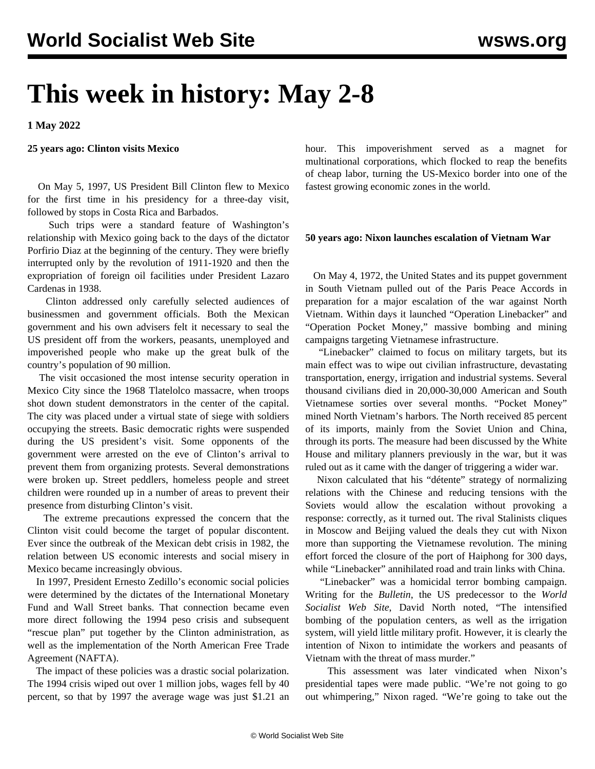# **This week in history: May 2-8**

**1 May 2022**

#### **25 years ago: Clinton visits Mexico**

 On May 5, 1997, US President Bill Clinton flew to Mexico for the first time in his presidency for a three-day visit, followed by stops in Costa Rica and Barbados.

 Such trips were a standard feature of Washington's relationship with Mexico going back to the days of the dictator Porfirio Diaz at the beginning of the century. They were briefly interrupted only by the revolution of 1911-1920 and then the expropriation of foreign oil facilities under President Lazaro Cardenas in 1938.

 Clinton addressed only carefully selected audiences of businessmen and government officials. Both the Mexican government and his own advisers felt it necessary to seal the US president off from the workers, peasants, unemployed and impoverished people who make up the great bulk of the country's population of 90 million.

 The visit occasioned the most intense security operation in Mexico City since the 1968 Tlatelolco massacre, when troops shot down student demonstrators in the center of the capital. The city was placed under a virtual state of siege with soldiers occupying the streets. Basic democratic rights were suspended during the US president's visit. Some opponents of the government were arrested on the eve of Clinton's arrival to prevent them from organizing protests. Several demonstrations were broken up. Street peddlers, homeless people and street children were rounded up in a number of areas to prevent their presence from disturbing Clinton's visit.

 The extreme precautions expressed the concern that the Clinton visit could become the target of popular discontent. Ever since the outbreak of the Mexican debt crisis in 1982, the relation between US economic interests and social misery in Mexico became increasingly obvious.

 In 1997, President Ernesto Zedillo's economic social policies were determined by the dictates of the International Monetary Fund and Wall Street banks. That connection became even more direct following the 1994 peso crisis and subsequent "rescue plan" put together by the Clinton administration, as well as the implementation of the North American Free Trade Agreement (NAFTA).

 The impact of these policies was a drastic social polarization. The 1994 crisis wiped out over 1 million jobs, wages fell by 40 percent, so that by 1997 the average wage was just \$1.21 an hour. This impoverishment served as a magnet for multinational corporations, which flocked to reap the benefits of cheap labor, turning the US-Mexico border into one of the fastest growing economic zones in the world.

#### **50 years ago: Nixon launches escalation of Vietnam War**

 On May 4, 1972, the United States and its puppet government in South Vietnam pulled out of the Paris Peace Accords in preparation for a major escalation of the war against North Vietnam. Within days it launched "Operation Linebacker" and "Operation Pocket Money," massive bombing and mining campaigns targeting Vietnamese infrastructure.

 "Linebacker" claimed to focus on military targets, but its main effect was to wipe out civilian infrastructure, devastating transportation, energy, irrigation and industrial systems. Several thousand civilians died in 20,000-30,000 American and South Vietnamese sorties over several months. "Pocket Money" mined North Vietnam's harbors. The North received 85 percent of its imports, mainly from the Soviet Union and China, through its ports. The measure had been discussed by the White House and military planners previously in the war, but it was ruled out as it came with the danger of triggering a wider war.

 Nixon calculated that his "détente" strategy of normalizing relations with the Chinese and reducing tensions with the Soviets would allow the escalation without provoking a response: correctly, as it turned out. The rival Stalinists cliques in Moscow and Beijing valued the deals they cut with Nixon more than supporting the Vietnamese revolution. The mining effort forced the closure of the port of Haiphong for 300 days, while "Linebacker" annihilated road and train links with China.

 "Linebacker" was a homicidal terror bombing campaign. Writing for the *Bulletin*, the US predecessor to the *World Socialist Web Site*, David North noted, "The intensified bombing of the population centers, as well as the irrigation system, will yield little military profit. However, it is clearly the intention of Nixon to intimidate the workers and peasants of Vietnam with the threat of mass murder."

 This assessment was later vindicated when Nixon's presidential tapes were made public. "We're not going to go out whimpering," Nixon raged. "We're going to take out the